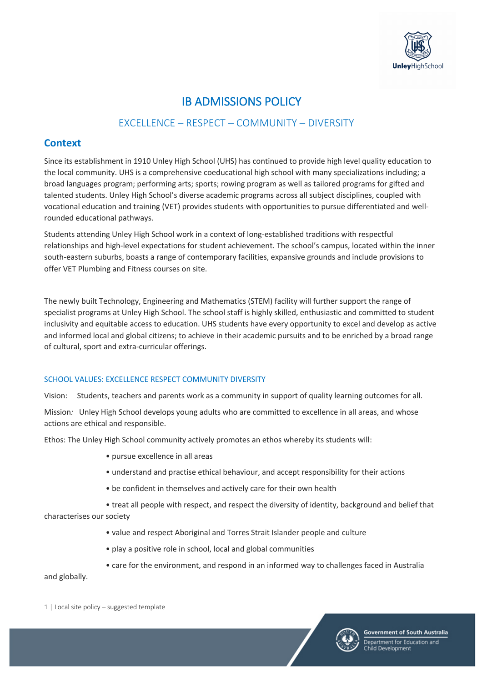

# IB ADMISSIONS POLICY

# EXCELLENCE – RESPECT – COMMUNITY – DIVERSITY

### **Context**

Since its establishment in 1910 Unley High School (UHS) has continued to provide high level quality education to the local community. UHS is a comprehensive coeducational high school with many specializations including; a broad languages program; performing arts; sports; rowing program as well as tailored programs for gifted and talented students. Unley High School's diverse academic programs across all subject disciplines, coupled with vocational education and training (VET) provides students with opportunities to pursue differentiated and wellrounded educational pathways.

Students attending Unley High School work in a context of long-established traditions with respectful relationships and high-level expectations for student achievement. The school's campus, located within the inner south-eastern suburbs, boasts a range of contemporary facilities, expansive grounds and include provisions to offer VET Plumbing and Fitness courses on site.

The newly built Technology, Engineering and Mathematics (STEM) facility will further support the range of specialist programs at Unley High School. The school staff is highly skilled, enthusiastic and committed to student inclusivity and equitable access to education. UHS students have every opportunity to excel and develop as active and informed local and global citizens; to achieve in their academic pursuits and to be enriched by a broad range of cultural, sport and extra-curricular offerings.

### SCHOOL VALUES: EXCELLENCE RESPECT COMMUNITY DIVERSITY

Vision: Students, teachers and parents work as a community in support of quality learning outcomes for all.

Mission*:* Unley High School develops young adults who are committed to excellence in all areas, and whose actions are ethical and responsible.

Ethos: The Unley High School community actively promotes an ethos whereby its students will:

- pursue excellence in all areas
- understand and practise ethical behaviour, and accept responsibility for their actions
- be confident in themselves and actively care for their own health
- treat all people with respect, and respect the diversity of identity, background and belief that characterises our society
	- value and respect Aboriginal and Torres Strait Islander people and culture
	- play a positive role in school, local and global communities
	- care for the environment, and respond in an informed way to challenges faced in Australia

### and globally.

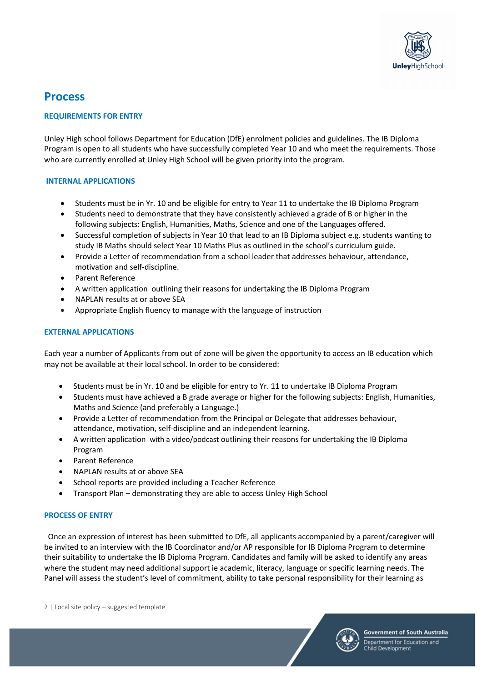

# **Process**

### **REQUIREMENTS FOR ENTRY**

Unley High school follows Department for Education (DfE) enrolment policies and guidelines. The IB Diploma Program is open to all students who have successfully completed Year 10 and who meet the requirements. Those who are currently enrolled at Unley High School will be given priority into the program.

### **INTERNAL APPLICATIONS**

- Students must be in Yr. 10 and be eligible for entry to Year 11 to undertake the IB Diploma Program
- Students need to demonstrate that they have consistently achieved a grade of B or higher in the following subjects: English, Humanities, Maths, Science and one of the Languages offered.
- Successful completion of subjects in Year 10 that lead to an IB Diploma subject e.g. students wanting to study IB Maths should select Year 10 Maths Plus as outlined in the school's curriculum guide.
- Provide a Letter of recommendation from a school leader that addresses behaviour, attendance, motivation and self-discipline.
- Parent Reference
- A written application outlining their reasons for undertaking the IB Diploma Program
- NAPLAN results at or above SEA
- Appropriate English fluency to manage with the language of instruction

#### **EXTERNAL APPLICATIONS**

Each year a number of Applicants from out of zone will be given the opportunity to access an IB education which may not be available at their local school. In order to be considered:

- Students must be in Yr. 10 and be eligible for entry to Yr. 11 to undertake IB Diploma Program
- Students must have achieved a B grade average or higher for the following subjects: English, Humanities, Maths and Science (and preferably a Language.)
- Provide a Letter of recommendation from the Principal or Delegate that addresses behaviour, attendance, motivation, self-discipline and an independent learning.
- A written application with a video/podcast outlining their reasons for undertaking the IB Diploma Program
- Parent Reference
- NAPLAN results at or above SEA
- School reports are provided including a Teacher Reference
- Transport Plan demonstrating they are able to access Unley High School

#### **PROCESS OF ENTRY**

 Once an expression of interest has been submitted to DfE, all applicants accompanied by a parent/caregiver will be invited to an interview with the IB Coordinator and/or AP responsible for IB Diploma Program to determine their suitability to undertake the IB Diploma Program. Candidates and family will be asked to identify any areas where the student may need additional support ie academic, literacy, language or specific learning needs. The Panel will assess the student's level of commitment, ability to take personal responsibility for their learning as